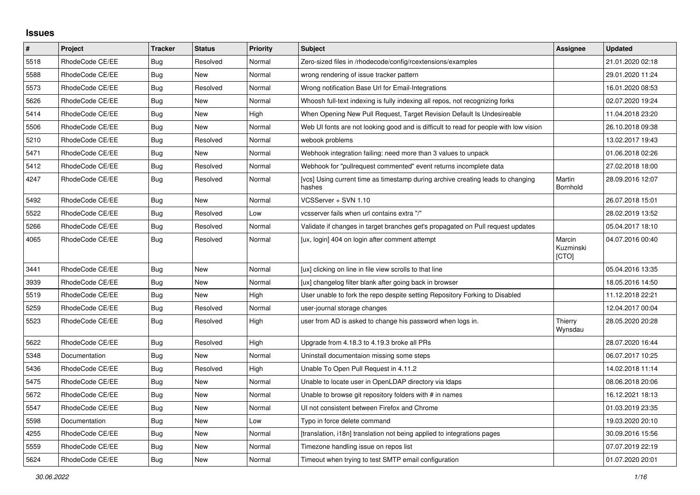## **Issues**

| $\pmb{\#}$ | Project         | <b>Tracker</b> | <b>Status</b> | <b>Priority</b> | <b>Subject</b>                                                                            | Assignee                     | <b>Updated</b>   |
|------------|-----------------|----------------|---------------|-----------------|-------------------------------------------------------------------------------------------|------------------------------|------------------|
| 5518       | RhodeCode CE/EE | Bug            | Resolved      | Normal          | Zero-sized files in /rhodecode/config/rcextensions/examples                               |                              | 21.01.2020 02:18 |
| 5588       | RhodeCode CE/EE | Bug            | New           | Normal          | wrong rendering of issue tracker pattern                                                  |                              | 29.01.2020 11:24 |
| 5573       | RhodeCode CE/EE | Bug            | Resolved      | Normal          | Wrong notification Base Url for Email-Integrations                                        |                              | 16.01.2020 08:53 |
| 5626       | RhodeCode CE/EE | <b>Bug</b>     | <b>New</b>    | Normal          | Whoosh full-text indexing is fully indexing all repos, not recognizing forks              |                              | 02.07.2020 19:24 |
| 5414       | RhodeCode CE/EE | Bug            | New           | High            | When Opening New Pull Request, Target Revision Default Is Undesireable                    |                              | 11.04.2018 23:20 |
| 5506       | RhodeCode CE/EE | Bug            | New           | Normal          | Web UI fonts are not looking good and is difficult to read for people with low vision     |                              | 26.10.2018 09:38 |
| 5210       | RhodeCode CE/EE | Bug            | Resolved      | Normal          | webook problems                                                                           |                              | 13.02.2017 19:43 |
| 5471       | RhodeCode CE/EE | Bug            | New           | Normal          | Webhook integration failing: need more than 3 values to unpack                            |                              | 01.06.2018 02:26 |
| 5412       | RhodeCode CE/EE | Bug            | Resolved      | Normal          | Webhook for "pullrequest commented" event returns incomplete data                         |                              | 27.02.2018 18:00 |
| 4247       | RhodeCode CE/EE | Bug            | Resolved      | Normal          | [vcs] Using current time as timestamp during archive creating leads to changing<br>hashes | Martin<br>Bornhold           | 28.09.2016 12:07 |
| 5492       | RhodeCode CE/EE | Bug            | New           | Normal          | VCSServer + SVN 1.10                                                                      |                              | 26.07.2018 15:01 |
| 5522       | RhodeCode CE/EE | <b>Bug</b>     | Resolved      | Low             | vcsserver fails when url contains extra "/"                                               |                              | 28.02.2019 13:52 |
| 5266       | RhodeCode CE/EE | Bug            | Resolved      | Normal          | Validate if changes in target branches get's propagated on Pull request updates           |                              | 05.04.2017 18:10 |
| 4065       | RhodeCode CE/EE | Bug            | Resolved      | Normal          | [ux, login] 404 on login after comment attempt                                            | Marcin<br>Kuzminski<br>[CTO] | 04.07.2016 00:40 |
| 3441       | RhodeCode CE/EE | Bug            | New           | Normal          | [ux] clicking on line in file view scrolls to that line                                   |                              | 05.04.2016 13:35 |
| 3939       | RhodeCode CE/EE | <b>Bug</b>     | New           | Normal          | [ux] changelog filter blank after going back in browser                                   |                              | 18.05.2016 14:50 |
| 5519       | RhodeCode CE/EE | <b>Bug</b>     | <b>New</b>    | High            | User unable to fork the repo despite setting Repository Forking to Disabled               |                              | 11.12.2018 22:21 |
| 5259       | RhodeCode CE/EE | Bug            | Resolved      | Normal          | user-journal storage changes                                                              |                              | 12.04.2017 00:04 |
| 5523       | RhodeCode CE/EE | Bug            | Resolved      | High            | user from AD is asked to change his password when logs in.                                | Thierry<br>Wynsdau           | 28.05.2020 20:28 |
| 5622       | RhodeCode CE/EE | Bug            | Resolved      | High            | Upgrade from 4.18.3 to 4.19.3 broke all PRs                                               |                              | 28.07.2020 16:44 |
| 5348       | Documentation   | <b>Bug</b>     | <b>New</b>    | Normal          | Uninstall documentaion missing some steps                                                 |                              | 06.07.2017 10:25 |
| 5436       | RhodeCode CE/EE | <b>Bug</b>     | Resolved      | High            | Unable To Open Pull Request in 4.11.2                                                     |                              | 14.02.2018 11:14 |
| 5475       | RhodeCode CE/EE | Bug            | New           | Normal          | Unable to locate user in OpenLDAP directory via Idaps                                     |                              | 08.06.2018 20:06 |
| 5672       | RhodeCode CE/EE | <b>Bug</b>     | New           | Normal          | Unable to browse git repository folders with # in names                                   |                              | 16.12.2021 18:13 |
| 5547       | RhodeCode CE/EE | <b>Bug</b>     | New           | Normal          | UI not consistent between Firefox and Chrome                                              |                              | 01.03.2019 23:35 |
| 5598       | Documentation   | Bug            | New           | Low             | Typo in force delete command                                                              |                              | 19.03.2020 20:10 |
| 4255       | RhodeCode CE/EE | <b>Bug</b>     | New           | Normal          | [translation, i18n] translation not being applied to integrations pages                   |                              | 30.09.2016 15:56 |
| 5559       | RhodeCode CE/EE | Bug            | New           | Normal          | Timezone handling issue on repos list                                                     |                              | 07.07.2019 22:19 |
| 5624       | RhodeCode CE/EE | Bug            | New           | Normal          | Timeout when trying to test SMTP email configuration                                      |                              | 01.07.2020 20:01 |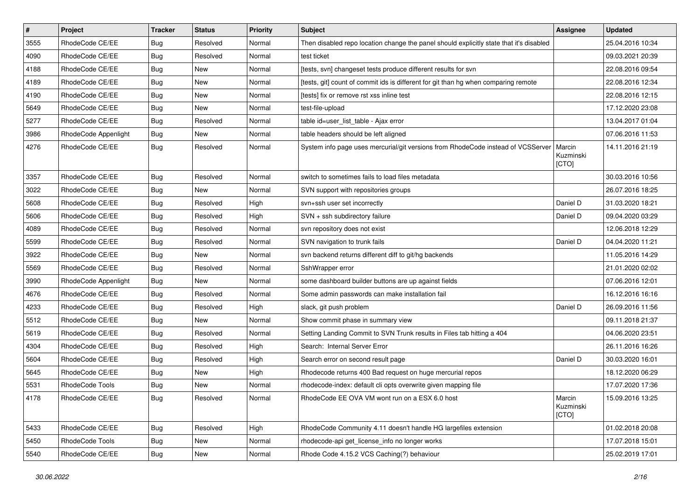| $\vert$ # | Project              | <b>Tracker</b> | <b>Status</b> | <b>Priority</b> | <b>Subject</b>                                                                          | <b>Assignee</b>              | <b>Updated</b>   |
|-----------|----------------------|----------------|---------------|-----------------|-----------------------------------------------------------------------------------------|------------------------------|------------------|
| 3555      | RhodeCode CE/EE      | Bug            | Resolved      | Normal          | Then disabled repo location change the panel should explicitly state that it's disabled |                              | 25.04.2016 10:34 |
| 4090      | RhodeCode CE/EE      | Bug            | Resolved      | Normal          | test ticket                                                                             |                              | 09.03.2021 20:39 |
| 4188      | RhodeCode CE/EE      | Bug            | New           | Normal          | [tests, svn] changeset tests produce different results for svn                          |                              | 22.08.2016 09:54 |
| 4189      | RhodeCode CE/EE      | Bug            | New           | Normal          | [tests, git] count of commit ids is different for git than hg when comparing remote     |                              | 22.08.2016 12:34 |
| 4190      | RhodeCode CE/EE      | <b>Bug</b>     | <b>New</b>    | Normal          | [tests] fix or remove rst xss inline test                                               |                              | 22.08.2016 12:15 |
| 5649      | RhodeCode CE/EE      | Bug            | New           | Normal          | test-file-upload                                                                        |                              | 17.12.2020 23:08 |
| 5277      | RhodeCode CE/EE      | Bug            | Resolved      | Normal          | table id=user_list_table - Ajax error                                                   |                              | 13.04.2017 01:04 |
| 3986      | RhodeCode Appenlight | Bug            | <b>New</b>    | Normal          | table headers should be left aligned                                                    |                              | 07.06.2016 11:53 |
| 4276      | RhodeCode CE/EE      | Bug            | Resolved      | Normal          | System info page uses mercurial/git versions from RhodeCode instead of VCSServer        | Marcin<br>Kuzminski<br>[CTO] | 14.11.2016 21:19 |
| 3357      | RhodeCode CE/EE      | Bug            | Resolved      | Normal          | switch to sometimes fails to load files metadata                                        |                              | 30.03.2016 10:56 |
| 3022      | RhodeCode CE/EE      | Bug            | <b>New</b>    | Normal          | SVN support with repositories groups                                                    |                              | 26.07.2016 18:25 |
| 5608      | RhodeCode CE/EE      | Bug            | Resolved      | High            | svn+ssh user set incorrectly                                                            | Daniel D                     | 31.03.2020 18:21 |
| 5606      | RhodeCode CE/EE      | <b>Bug</b>     | Resolved      | High            | SVN + ssh subdirectory failure                                                          | Daniel D                     | 09.04.2020 03:29 |
| 4089      | RhodeCode CE/EE      | Bug            | Resolved      | Normal          | svn repository does not exist                                                           |                              | 12.06.2018 12:29 |
| 5599      | RhodeCode CE/EE      | <b>Bug</b>     | Resolved      | Normal          | SVN navigation to trunk fails                                                           | Daniel D                     | 04.04.2020 11:21 |
| 3922      | RhodeCode CE/EE      | Bug            | <b>New</b>    | Normal          | svn backend returns different diff to git/hg backends                                   |                              | 11.05.2016 14:29 |
| 5569      | RhodeCode CE/EE      | <b>Bug</b>     | Resolved      | Normal          | SshWrapper error                                                                        |                              | 21.01.2020 02:02 |
| 3990      | RhodeCode Appenlight | Bug            | New           | Normal          | some dashboard builder buttons are up against fields                                    |                              | 07.06.2016 12:01 |
| 4676      | RhodeCode CE/EE      | Bug            | Resolved      | Normal          | Some admin passwords can make installation fail                                         |                              | 16.12.2016 16:16 |
| 4233      | RhodeCode CE/EE      | Bug            | Resolved      | High            | slack, git push problem                                                                 | Daniel D                     | 26.09.2016 11:56 |
| 5512      | RhodeCode CE/EE      | Bug            | New           | Normal          | Show commit phase in summary view                                                       |                              | 09.11.2018 21:37 |
| 5619      | RhodeCode CE/EE      | Bug            | Resolved      | Normal          | Setting Landing Commit to SVN Trunk results in Files tab hitting a 404                  |                              | 04.06.2020 23:51 |
| 4304      | RhodeCode CE/EE      | Bug            | Resolved      | High            | Search: Internal Server Error                                                           |                              | 26.11.2016 16:26 |
| 5604      | RhodeCode CE/EE      | Bug            | Resolved      | High            | Search error on second result page                                                      | Daniel D                     | 30.03.2020 16:01 |
| 5645      | RhodeCode CE/EE      | <b>Bug</b>     | New           | High            | Rhodecode returns 400 Bad request on huge mercurial repos                               |                              | 18.12.2020 06:29 |
| 5531      | RhodeCode Tools      | Bug            | New           | Normal          | rhodecode-index: default cli opts overwrite given mapping file                          |                              | 17.07.2020 17:36 |
| 4178      | RhodeCode CE/EE      | Bug            | Resolved      | Normal          | RhodeCode EE OVA VM wont run on a ESX 6.0 host                                          | Marcin<br>Kuzminski<br>[CTO] | 15.09.2016 13:25 |
| 5433      | RhodeCode CE/EE      | <b>Bug</b>     | Resolved      | High            | RhodeCode Community 4.11 doesn't handle HG largefiles extension                         |                              | 01.02.2018 20:08 |
| 5450      | RhodeCode Tools      | Bug            | New           | Normal          | rhodecode-api get_license_info no longer works                                          |                              | 17.07.2018 15:01 |
| 5540      | RhodeCode CE/EE      | <b>Bug</b>     | New           | Normal          | Rhode Code 4.15.2 VCS Caching(?) behaviour                                              |                              | 25.02.2019 17:01 |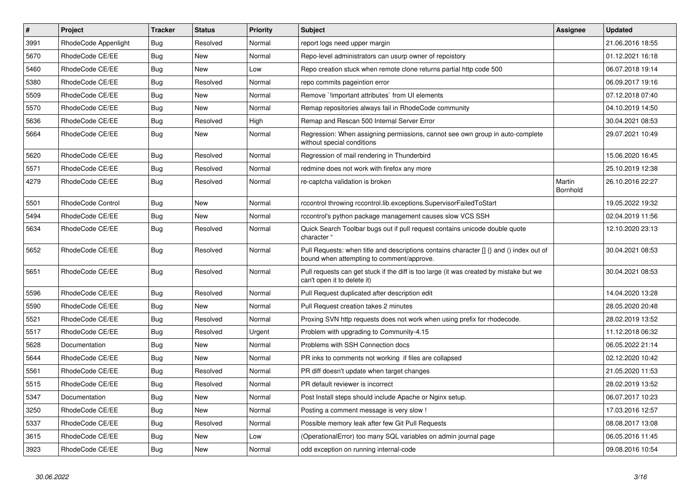| $\sharp$ | Project              | <b>Tracker</b> | <b>Status</b> | <b>Priority</b> | <b>Subject</b>                                                                                                                         | Assignee           | <b>Updated</b>   |
|----------|----------------------|----------------|---------------|-----------------|----------------------------------------------------------------------------------------------------------------------------------------|--------------------|------------------|
| 3991     | RhodeCode Appenlight | Bug            | Resolved      | Normal          | report logs need upper margin                                                                                                          |                    | 21.06.2016 18:55 |
| 5670     | RhodeCode CE/EE      | Bug            | <b>New</b>    | Normal          | Repo-level administrators can usurp owner of repoistory                                                                                |                    | 01.12.2021 16:18 |
| 5460     | RhodeCode CE/EE      | Bug            | <b>New</b>    | Low             | Repo creation stuck when remote clone returns partial http code 500                                                                    |                    | 06.07.2018 19:14 |
| 5380     | RhodeCode CE/EE      | Bug            | Resolved      | Normal          | repo commits pageintion error                                                                                                          |                    | 06.09.2017 19:16 |
| 5509     | RhodeCode CE/EE      | Bug            | <b>New</b>    | Normal          | Remove `limportant attributes` from UI elements                                                                                        |                    | 07.12.2018 07:40 |
| 5570     | RhodeCode CE/EE      | Bug            | <b>New</b>    | Normal          | Remap repositories always fail in RhodeCode community                                                                                  |                    | 04.10.2019 14:50 |
| 5636     | RhodeCode CE/EE      | Bug            | Resolved      | High            | Remap and Rescan 500 Internal Server Error                                                                                             |                    | 30.04.2021 08:53 |
| 5664     | RhodeCode CE/EE      | Bug            | <b>New</b>    | Normal          | Regression: When assigning permissions, cannot see own group in auto-complete<br>without special conditions                            |                    | 29.07.2021 10:49 |
| 5620     | RhodeCode CE/EE      | Bug            | Resolved      | Normal          | Regression of mail rendering in Thunderbird                                                                                            |                    | 15.06.2020 16:45 |
| 5571     | RhodeCode CE/EE      | Bug            | Resolved      | Normal          | redmine does not work with firefox any more                                                                                            |                    | 25.10.2019 12:38 |
| 4279     | RhodeCode CE/EE      | Bug            | Resolved      | Normal          | re-captcha validation is broken                                                                                                        | Martin<br>Bornhold | 26.10.2016 22:27 |
| 5501     | RhodeCode Control    | Bug            | New           | Normal          | rccontrol throwing rccontrol.lib.exceptions.SupervisorFailedToStart                                                                    |                    | 19.05.2022 19:32 |
| 5494     | RhodeCode CE/EE      | Bug            | <b>New</b>    | Normal          | rccontrol's python package management causes slow VCS SSH                                                                              |                    | 02.04.2019 11:56 |
| 5634     | RhodeCode CE/EE      | Bug            | Resolved      | Normal          | Quick Search Toolbar bugs out if pull request contains unicode double quote<br>character "                                             |                    | 12.10.2020 23:13 |
| 5652     | RhodeCode CE/EE      | Bug            | Resolved      | Normal          | Pull Requests: when title and descriptions contains character $\iint$ and () index out of<br>bound when attempting to comment/approve. |                    | 30.04.2021 08:53 |
| 5651     | RhodeCode CE/EE      | <b>Bug</b>     | Resolved      | Normal          | Pull requests can get stuck if the diff is too large (it was created by mistake but we<br>can't open it to delete it)                  |                    | 30.04.2021 08:53 |
| 5596     | RhodeCode CE/EE      | <b>Bug</b>     | Resolved      | Normal          | Pull Request duplicated after description edit                                                                                         |                    | 14.04.2020 13:28 |
| 5590     | RhodeCode CE/EE      | Bug            | <b>New</b>    | Normal          | Pull Request creation takes 2 minutes                                                                                                  |                    | 28.05.2020 20:48 |
| 5521     | RhodeCode CE/EE      | Bug            | Resolved      | Normal          | Proxing SVN http requests does not work when using prefix for rhodecode.                                                               |                    | 28.02.2019 13:52 |
| 5517     | RhodeCode CE/EE      | <b>Bug</b>     | Resolved      | Urgent          | Problem with upgrading to Community-4.15                                                                                               |                    | 11.12.2018 06:32 |
| 5628     | Documentation        | Bug            | <b>New</b>    | Normal          | Problems with SSH Connection docs                                                                                                      |                    | 06.05.2022 21:14 |
| 5644     | RhodeCode CE/EE      | Bug            | <b>New</b>    | Normal          | PR inks to comments not working if files are collapsed                                                                                 |                    | 02.12.2020 10:42 |
| 5561     | RhodeCode CE/EE      | Bug            | Resolved      | Normal          | PR diff doesn't update when target changes                                                                                             |                    | 21.05.2020 11:53 |
| 5515     | RhodeCode CE/EE      | Bug            | Resolved      | Normal          | PR default reviewer is incorrect                                                                                                       |                    | 28.02.2019 13:52 |
| 5347     | Documentation        | Bug            | <b>New</b>    | Normal          | Post Install steps should include Apache or Nginx setup.                                                                               |                    | 06.07.2017 10:23 |
| 3250     | RhodeCode CE/EE      | Bug            | <b>New</b>    | Normal          | Posting a comment message is very slow !                                                                                               |                    | 17.03.2016 12:57 |
| 5337     | RhodeCode CE/EE      | Bug            | Resolved      | Normal          | Possible memory leak after few Git Pull Requests                                                                                       |                    | 08.08.2017 13:08 |
| 3615     | RhodeCode CE/EE      | Bug            | <b>New</b>    | Low             | (OperationalError) too many SQL variables on admin journal page                                                                        |                    | 06.05.2016 11:45 |
| 3923     | RhodeCode CE/EE      | Bug            | <b>New</b>    | Normal          | odd exception on running internal-code                                                                                                 |                    | 09.08.2016 10:54 |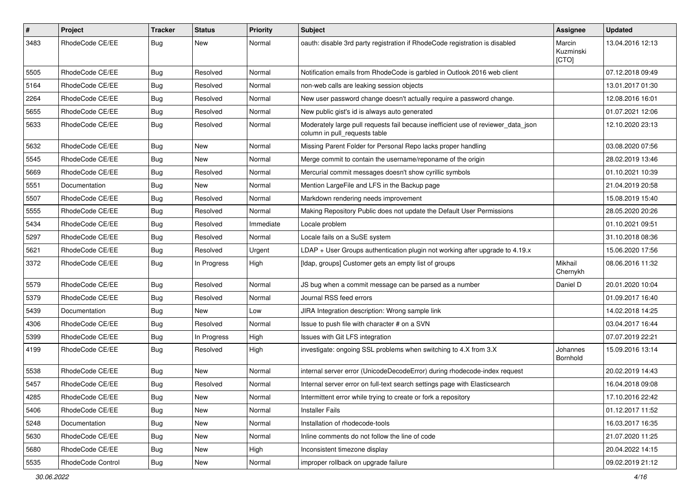| $\#$ | Project           | Tracker    | <b>Status</b> | <b>Priority</b> | <b>Subject</b>                                                                                                     | Assignee                     | <b>Updated</b>   |
|------|-------------------|------------|---------------|-----------------|--------------------------------------------------------------------------------------------------------------------|------------------------------|------------------|
| 3483 | RhodeCode CE/EE   | <b>Bug</b> | New           | Normal          | oauth: disable 3rd party registration if RhodeCode registration is disabled                                        | Marcin<br>Kuzminski<br>[CTO] | 13.04.2016 12:13 |
| 5505 | RhodeCode CE/EE   | Bug        | Resolved      | Normal          | Notification emails from RhodeCode is garbled in Outlook 2016 web client                                           |                              | 07.12.2018 09:49 |
| 5164 | RhodeCode CE/EE   | <b>Bug</b> | Resolved      | Normal          | non-web calls are leaking session objects                                                                          |                              | 13.01.2017 01:30 |
| 2264 | RhodeCode CE/EE   | <b>Bug</b> | Resolved      | Normal          | New user password change doesn't actually require a password change.                                               |                              | 12.08.2016 16:01 |
| 5655 | RhodeCode CE/EE   | <b>Bug</b> | Resolved      | Normal          | New public gist's id is always auto generated                                                                      |                              | 01.07.2021 12:06 |
| 5633 | RhodeCode CE/EE   | Bug        | Resolved      | Normal          | Moderately large pull requests fail because inefficient use of reviewer_data_json<br>column in pull_requests table |                              | 12.10.2020 23:13 |
| 5632 | RhodeCode CE/EE   | Bug        | <b>New</b>    | Normal          | Missing Parent Folder for Personal Repo lacks proper handling                                                      |                              | 03.08.2020 07:56 |
| 5545 | RhodeCode CE/EE   | <b>Bug</b> | New           | Normal          | Merge commit to contain the username/reponame of the origin                                                        |                              | 28.02.2019 13:46 |
| 5669 | RhodeCode CE/EE   | <b>Bug</b> | Resolved      | Normal          | Mercurial commit messages doesn't show cyrillic symbols                                                            |                              | 01.10.2021 10:39 |
| 5551 | Documentation     | <b>Bug</b> | New           | Normal          | Mention LargeFile and LFS in the Backup page                                                                       |                              | 21.04.2019 20:58 |
| 5507 | RhodeCode CE/EE   | <b>Bug</b> | Resolved      | Normal          | Markdown rendering needs improvement                                                                               |                              | 15.08.2019 15:40 |
| 5555 | RhodeCode CE/EE   | <b>Bug</b> | Resolved      | Normal          | Making Repository Public does not update the Default User Permissions                                              |                              | 28.05.2020 20:26 |
| 5434 | RhodeCode CE/EE   | <b>Bug</b> | Resolved      | Immediate       | Locale problem                                                                                                     |                              | 01.10.2021 09:51 |
| 5297 | RhodeCode CE/EE   | <b>Bug</b> | Resolved      | Normal          | Locale fails on a SuSE system                                                                                      |                              | 31.10.2018 08:36 |
| 5621 | RhodeCode CE/EE   | <b>Bug</b> | Resolved      | Urgent          | LDAP + User Groups authentication plugin not working after upgrade to 4.19.x                                       |                              | 15.06.2020 17:56 |
| 3372 | RhodeCode CE/EE   | <b>Bug</b> | In Progress   | High            | [Idap, groups] Customer gets an empty list of groups                                                               | Mikhail<br>Chernykh          | 08.06.2016 11:32 |
| 5579 | RhodeCode CE/EE   | <b>Bug</b> | Resolved      | Normal          | JS bug when a commit message can be parsed as a number                                                             | Daniel D                     | 20.01.2020 10:04 |
| 5379 | RhodeCode CE/EE   | <b>Bug</b> | Resolved      | Normal          | Journal RSS feed errors                                                                                            |                              | 01.09.2017 16:40 |
| 5439 | Documentation     | <b>Bug</b> | New           | Low             | JIRA Integration description: Wrong sample link                                                                    |                              | 14.02.2018 14:25 |
| 4306 | RhodeCode CE/EE   | <b>Bug</b> | Resolved      | Normal          | Issue to push file with character # on a SVN                                                                       |                              | 03.04.2017 16:44 |
| 5399 | RhodeCode CE/EE   | <b>Bug</b> | In Progress   | High            | Issues with Git LFS integration                                                                                    |                              | 07.07.2019 22:21 |
| 4199 | RhodeCode CE/EE   | Bug        | Resolved      | High            | investigate: ongoing SSL problems when switching to 4.X from 3.X                                                   | Johannes<br>Bornhold         | 15.09.2016 13:14 |
| 5538 | RhodeCode CE/EE   | Bug        | New           | Normal          | internal server error (UnicodeDecodeError) during rhodecode-index request                                          |                              | 20.02.2019 14:43 |
| 5457 | RhodeCode CE/EE   | <b>Bug</b> | Resolved      | Normal          | Internal server error on full-text search settings page with Elasticsearch                                         |                              | 16.04.2018 09:08 |
| 4285 | RhodeCode CE/EE   | <b>Bug</b> | New           | Normal          | Intermittent error while trying to create or fork a repository                                                     |                              | 17.10.2016 22:42 |
| 5406 | RhodeCode CE/EE   | Bug        | New           | Normal          | <b>Installer Fails</b>                                                                                             |                              | 01.12.2017 11:52 |
| 5248 | Documentation     | Bug        | New           | Normal          | Installation of rhodecode-tools                                                                                    |                              | 16.03.2017 16:35 |
| 5630 | RhodeCode CE/EE   | Bug        | New           | Normal          | Inline comments do not follow the line of code                                                                     |                              | 21.07.2020 11:25 |
| 5680 | RhodeCode CE/EE   | <b>Bug</b> | New           | High            | Inconsistent timezone display                                                                                      |                              | 20.04.2022 14:15 |
| 5535 | RhodeCode Control | <b>Bug</b> | New           | Normal          | improper rollback on upgrade failure                                                                               |                              | 09.02.2019 21:12 |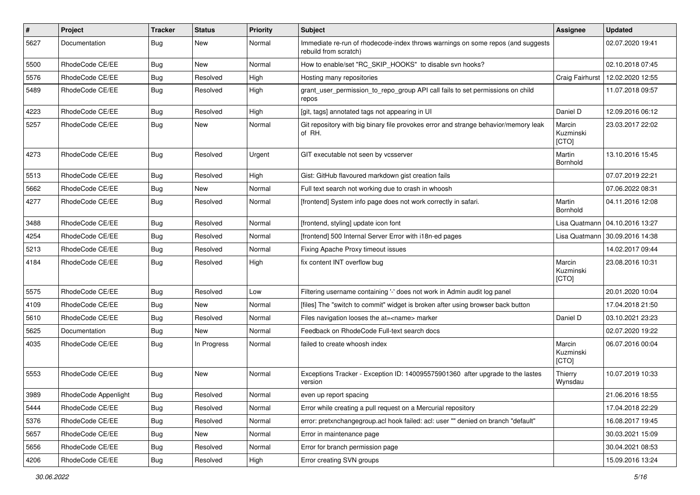| $\pmb{\#}$ | Project              | <b>Tracker</b> | <b>Status</b> | <b>Priority</b> | <b>Subject</b>                                                                                           | <b>Assignee</b>              | <b>Updated</b>                   |
|------------|----------------------|----------------|---------------|-----------------|----------------------------------------------------------------------------------------------------------|------------------------------|----------------------------------|
| 5627       | Documentation        | Bug            | New           | Normal          | Immediate re-run of rhodecode-index throws warnings on some repos (and suggests<br>rebuild from scratch) |                              | 02.07.2020 19:41                 |
| 5500       | RhodeCode CE/EE      | Bug            | New           | Normal          | How to enable/set "RC_SKIP_HOOKS" to disable svn hooks?                                                  |                              | 02.10.2018 07:45                 |
| 5576       | RhodeCode CE/EE      | <b>Bug</b>     | Resolved      | High            | Hosting many repositories                                                                                | Craig Fairhurst              | 12.02.2020 12:55                 |
| 5489       | RhodeCode CE/EE      | Bug            | Resolved      | High            | grant_user_permission_to_repo_group API call fails to set permissions on child<br>repos                  |                              | 11.07.2018 09:57                 |
| 4223       | RhodeCode CE/EE      | Bug            | Resolved      | High            | [git, tags] annotated tags not appearing in UI                                                           | Daniel D                     | 12.09.2016 06:12                 |
| 5257       | RhodeCode CE/EE      | <b>Bug</b>     | <b>New</b>    | Normal          | Git repository with big binary file provokes error and strange behavior/memory leak<br>of RH.            | Marcin<br>Kuzminski<br>[CTO] | 23.03.2017 22:02                 |
| 4273       | RhodeCode CE/EE      | Bug            | Resolved      | Urgent          | GIT executable not seen by vcsserver                                                                     | Martin<br>Bornhold           | 13.10.2016 15:45                 |
| 5513       | RhodeCode CE/EE      | Bug            | Resolved      | High            | Gist: GitHub flavoured markdown gist creation fails                                                      |                              | 07.07.2019 22:21                 |
| 5662       | RhodeCode CE/EE      | Bug            | New           | Normal          | Full text search not working due to crash in whoosh                                                      |                              | 07.06.2022 08:31                 |
| 4277       | RhodeCode CE/EE      | Bug            | Resolved      | Normal          | [frontend] System info page does not work correctly in safari.                                           | Martin<br>Bornhold           | 04.11.2016 12:08                 |
| 3488       | RhodeCode CE/EE      | Bug            | Resolved      | Normal          | [frontend, styling] update icon font                                                                     | Lisa Quatmann                | 04.10.2016 13:27                 |
| 4254       | RhodeCode CE/EE      | Bug            | Resolved      | Normal          | [frontend] 500 Internal Server Error with i18n-ed pages                                                  |                              | Lisa Quatmann   30.09.2016 14:38 |
| 5213       | RhodeCode CE/EE      | Bug            | Resolved      | Normal          | Fixing Apache Proxy timeout issues                                                                       |                              | 14.02.2017 09:44                 |
| 4184       | RhodeCode CE/EE      | Bug            | Resolved      | High            | fix content INT overflow bug                                                                             | Marcin<br>Kuzminski<br>[CTO] | 23.08.2016 10:31                 |
| 5575       | RhodeCode CE/EE      | Bug            | Resolved      | Low             | Filtering username containing '-' does not work in Admin audit log panel                                 |                              | 20.01.2020 10:04                 |
| 4109       | RhodeCode CE/EE      | Bug            | <b>New</b>    | Normal          | [files] The "switch to commit" widget is broken after using browser back button                          |                              | 17.04.2018 21:50                 |
| 5610       | RhodeCode CE/EE      | Bug            | Resolved      | Normal          | Files navigation looses the at= <name> marker</name>                                                     | Daniel D                     | 03.10.2021 23:23                 |
| 5625       | Documentation        | Bug            | New           | Normal          | Feedback on RhodeCode Full-text search docs                                                              |                              | 02.07.2020 19:22                 |
| 4035       | RhodeCode CE/EE      | Bug            | In Progress   | Normal          | failed to create whoosh index                                                                            | Marcin<br>Kuzminski<br>[CTO] | 06.07.2016 00:04                 |
| 5553       | RhodeCode CE/EE      | Bug            | New           | Normal          | Exceptions Tracker - Exception ID: 140095575901360 after upgrade to the lastes<br>version                | Thierry<br>Wynsdau           | 10.07.2019 10:33                 |
| 3989       | RhodeCode Appenlight | Bug            | Resolved      | Normal          | even up report spacing                                                                                   |                              | 21.06.2016 18:55                 |
| 5444       | RhodeCode CE/EE      | Bug            | Resolved      | Normal          | Error while creating a pull request on a Mercurial repository                                            |                              | 17.04.2018 22:29                 |
| 5376       | RhodeCode CE/EE      | Bug            | Resolved      | Normal          | error: pretxnchangegroup.acl hook failed: acl: user "" denied on branch "default"                        |                              | 16.08.2017 19:45                 |
| 5657       | RhodeCode CE/EE      | Bug            | New           | Normal          | Error in maintenance page                                                                                |                              | 30.03.2021 15:09                 |
| 5656       | RhodeCode CE/EE      | Bug            | Resolved      | Normal          | Error for branch permission page                                                                         |                              | 30.04.2021 08:53                 |
| 4206       | RhodeCode CE/EE      | Bug            | Resolved      | High            | Error creating SVN groups                                                                                |                              | 15.09.2016 13:24                 |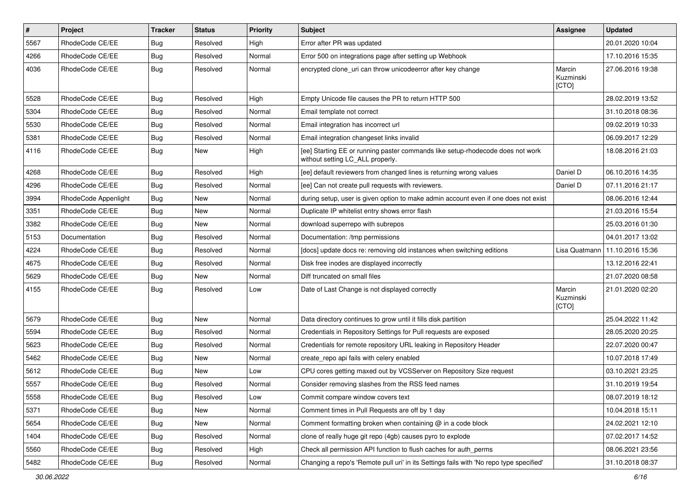| $\pmb{\#}$ | Project              | <b>Tracker</b> | <b>Status</b> | <b>Priority</b> | Subject                                                                                                            | Assignee                     | <b>Updated</b>   |
|------------|----------------------|----------------|---------------|-----------------|--------------------------------------------------------------------------------------------------------------------|------------------------------|------------------|
| 5567       | RhodeCode CE/EE      | Bug            | Resolved      | High            | Error after PR was updated                                                                                         |                              | 20.01.2020 10:04 |
| 4266       | RhodeCode CE/EE      | Bug            | Resolved      | Normal          | Error 500 on integrations page after setting up Webhook                                                            |                              | 17.10.2016 15:35 |
| 4036       | RhodeCode CE/EE      | Bug            | Resolved      | Normal          | encrypted clone_uri can throw unicodeerror after key change                                                        | Marcin<br>Kuzminski<br>[CTO] | 27.06.2016 19:38 |
| 5528       | RhodeCode CE/EE      | Bug            | Resolved      | High            | Empty Unicode file causes the PR to return HTTP 500                                                                |                              | 28.02.2019 13:52 |
| 5304       | RhodeCode CE/EE      | <b>Bug</b>     | Resolved      | Normal          | Email template not correct                                                                                         |                              | 31.10.2018 08:36 |
| 5530       | RhodeCode CE/EE      | Bug            | Resolved      | Normal          | Email integration has incorrect url                                                                                |                              | 09.02.2019 10:33 |
| 5381       | RhodeCode CE/EE      | Bug            | Resolved      | Normal          | Email integration changeset links invalid                                                                          |                              | 06.09.2017 12:29 |
| 4116       | RhodeCode CE/EE      | Bug            | New           | High            | [ee] Starting EE or running paster commands like setup-rhodecode does not work<br>without setting LC_ALL properly. |                              | 18.08.2016 21:03 |
| 4268       | RhodeCode CE/EE      | Bug            | Resolved      | High            | [ee] default reviewers from changed lines is returning wrong values                                                | Daniel D                     | 06.10.2016 14:35 |
| 4296       | RhodeCode CE/EE      | Bug            | Resolved      | Normal          | [ee] Can not create pull requests with reviewers.                                                                  | Daniel D                     | 07.11.2016 21:17 |
| 3994       | RhodeCode Appenlight | <b>Bug</b>     | New           | Normal          | during setup, user is given option to make admin account even if one does not exist                                |                              | 08.06.2016 12:44 |
| 3351       | RhodeCode CE/EE      | Bug            | New           | Normal          | Duplicate IP whitelist entry shows error flash                                                                     |                              | 21.03.2016 15:54 |
| 3382       | RhodeCode CE/EE      | Bug            | New           | Normal          | download superrepo with subrepos                                                                                   |                              | 25.03.2016 01:30 |
| 5153       | Documentation        | <b>Bug</b>     | Resolved      | Normal          | Documentation: /tmp permissions                                                                                    |                              | 04.01.2017 13:02 |
| 4224       | RhodeCode CE/EE      | Bug            | Resolved      | Normal          | [docs] update docs re: removing old instances when switching editions                                              | Lisa Quatmann                | 11.10.2016 15:36 |
| 4675       | RhodeCode CE/EE      | <b>Bug</b>     | Resolved      | Normal          | Disk free inodes are displayed incorrectly                                                                         |                              | 13.12.2016 22:41 |
| 5629       | RhodeCode CE/EE      | Bug            | New           | Normal          | Diff truncated on small files                                                                                      |                              | 21.07.2020 08:58 |
| 4155       | RhodeCode CE/EE      | Bug            | Resolved      | Low             | Date of Last Change is not displayed correctly                                                                     | Marcin<br>Kuzminski<br>[CTO] | 21.01.2020 02:20 |
| 5679       | RhodeCode CE/EE      | Bug            | New           | Normal          | Data directory continues to grow until it fills disk partition                                                     |                              | 25.04.2022 11:42 |
| 5594       | RhodeCode CE/EE      | Bug            | Resolved      | Normal          | Credentials in Repository Settings for Pull requests are exposed                                                   |                              | 28.05.2020 20:25 |
| 5623       | RhodeCode CE/EE      | Bug            | Resolved      | Normal          | Credentials for remote repository URL leaking in Repository Header                                                 |                              | 22.07.2020 00:47 |
| 5462       | RhodeCode CE/EE      | <b>Bug</b>     | New           | Normal          | create repo api fails with celery enabled                                                                          |                              | 10.07.2018 17:49 |
| 5612       | RhodeCode CE/EE      | <b>Bug</b>     | New           | Low             | CPU cores getting maxed out by VCSServer on Repository Size request                                                |                              | 03.10.2021 23:25 |
| 5557       | RhodeCode CE/EE      | Bug            | Resolved      | Normal          | Consider removing slashes from the RSS feed names                                                                  |                              | 31.10.2019 19:54 |
| 5558       | RhodeCode CE/EE      | Bug            | Resolved      | Low             | Commit compare window covers text                                                                                  |                              | 08.07.2019 18:12 |
| 5371       | RhodeCode CE/EE      | <b>Bug</b>     | New           | Normal          | Comment times in Pull Requests are off by 1 day                                                                    |                              | 10.04.2018 15:11 |
| 5654       | RhodeCode CE/EE      | Bug            | New           | Normal          | Comment formatting broken when containing $@$ in a code block                                                      |                              | 24.02.2021 12:10 |
| 1404       | RhodeCode CE/EE      | Bug            | Resolved      | Normal          | clone of really huge git repo (4gb) causes pyro to explode                                                         |                              | 07.02.2017 14:52 |
| 5560       | RhodeCode CE/EE      | <b>Bug</b>     | Resolved      | High            | Check all permission API function to flush caches for auth_perms                                                   |                              | 08.06.2021 23:56 |
| 5482       | RhodeCode CE/EE      | <b>Bug</b>     | Resolved      | Normal          | Changing a repo's 'Remote pull uri' in its Settings fails with 'No repo type specified'                            |                              | 31.10.2018 08:37 |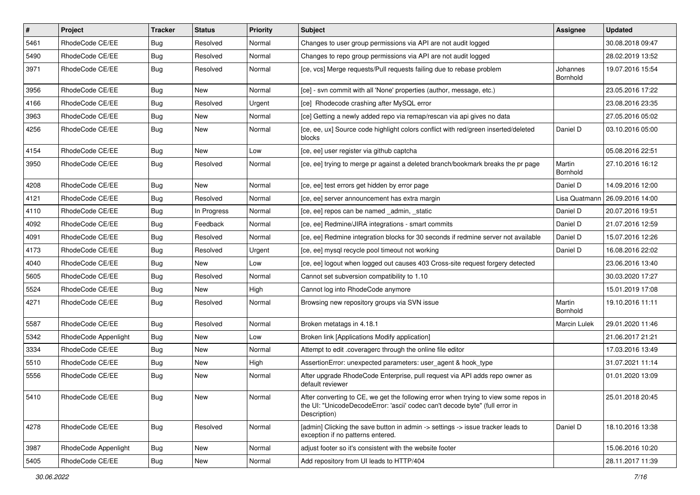| $\vert$ # | Project              | <b>Tracker</b> | <b>Status</b> | <b>Priority</b> | <b>Subject</b>                                                                                                                                                                       | <b>Assignee</b>      | <b>Updated</b>   |
|-----------|----------------------|----------------|---------------|-----------------|--------------------------------------------------------------------------------------------------------------------------------------------------------------------------------------|----------------------|------------------|
| 5461      | RhodeCode CE/EE      | Bug            | Resolved      | Normal          | Changes to user group permissions via API are not audit logged                                                                                                                       |                      | 30.08.2018 09:47 |
| 5490      | RhodeCode CE/EE      | Bug            | Resolved      | Normal          | Changes to repo group permissions via API are not audit logged                                                                                                                       |                      | 28.02.2019 13:52 |
| 3971      | RhodeCode CE/EE      | Bug            | Resolved      | Normal          | [ce, vcs] Merge requests/Pull requests failing due to rebase problem                                                                                                                 | Johannes<br>Bornhold | 19.07.2016 15:54 |
| 3956      | RhodeCode CE/EE      | Bug            | <b>New</b>    | Normal          | [ce] - svn commit with all 'None' properties (author, message, etc.)                                                                                                                 |                      | 23.05.2016 17:22 |
| 4166      | RhodeCode CE/EE      | Bug            | Resolved      | Urgent          | [ce] Rhodecode crashing after MySQL error                                                                                                                                            |                      | 23.08.2016 23:35 |
| 3963      | RhodeCode CE/EE      | Bug            | New           | Normal          | [ce] Getting a newly added repo via remap/rescan via api gives no data                                                                                                               |                      | 27.05.2016 05:02 |
| 4256      | RhodeCode CE/EE      | Bug            | <b>New</b>    | Normal          | [ce, ee, ux] Source code highlight colors conflict with red/green inserted/deleted<br>blocks                                                                                         | Daniel D             | 03.10.2016 05:00 |
| 4154      | RhodeCode CE/EE      | Bug            | New           | Low             | [ce, ee] user register via github captcha                                                                                                                                            |                      | 05.08.2016 22:51 |
| 3950      | RhodeCode CE/EE      | Bug            | Resolved      | Normal          | [ce, ee] trying to merge pr against a deleted branch/bookmark breaks the pr page                                                                                                     | Martin<br>Bornhold   | 27.10.2016 16:12 |
| 4208      | RhodeCode CE/EE      | Bug            | <b>New</b>    | Normal          | [ce, ee] test errors get hidden by error page                                                                                                                                        | Daniel D             | 14.09.2016 12:00 |
| 4121      | RhodeCode CE/EE      | Bug            | Resolved      | Normal          | [ce, ee] server announcement has extra margin                                                                                                                                        | Lisa Quatmann        | 26.09.2016 14:00 |
| 4110      | RhodeCode CE/EE      | Bug            | In Progress   | Normal          | [ce, ee] repos can be named admin, static                                                                                                                                            | Daniel D             | 20.07.2016 19:51 |
| 4092      | RhodeCode CE/EE      | Bug            | Feedback      | Normal          | [ce, ee] Redmine/JIRA integrations - smart commits                                                                                                                                   | Daniel D             | 21.07.2016 12:59 |
| 4091      | RhodeCode CE/EE      | <b>Bug</b>     | Resolved      | Normal          | [ce, ee] Redmine integration blocks for 30 seconds if redmine server not available                                                                                                   | Daniel D             | 15.07.2016 12:26 |
| 4173      | RhodeCode CE/EE      | Bug            | Resolved      | Urgent          | [ce, ee] mysql recycle pool timeout not working                                                                                                                                      | Daniel D             | 16.08.2016 22:02 |
| 4040      | RhodeCode CE/EE      | Bug            | New           | Low             | [ce, ee] logout when logged out causes 403 Cross-site request forgery detected                                                                                                       |                      | 23.06.2016 13:40 |
| 5605      | RhodeCode CE/EE      | Bug            | Resolved      | Normal          | Cannot set subversion compatibility to 1.10                                                                                                                                          |                      | 30.03.2020 17:27 |
| 5524      | RhodeCode CE/EE      | Bug            | <b>New</b>    | High            | Cannot log into RhodeCode anymore                                                                                                                                                    |                      | 15.01.2019 17:08 |
| 4271      | RhodeCode CE/EE      | Bug            | Resolved      | Normal          | Browsing new repository groups via SVN issue                                                                                                                                         | Martin<br>Bornhold   | 19.10.2016 11:11 |
| 5587      | RhodeCode CE/EE      | Bug            | Resolved      | Normal          | Broken metatags in 4.18.1                                                                                                                                                            | <b>Marcin Lulek</b>  | 29.01.2020 11:46 |
| 5342      | RhodeCode Appenlight | <b>Bug</b>     | New           | Low             | Broken link [Applications Modify application]                                                                                                                                        |                      | 21.06.2017 21:21 |
| 3334      | RhodeCode CE/EE      | Bug            | New           | Normal          | Attempt to edit .coveragerc through the online file editor                                                                                                                           |                      | 17.03.2016 13:49 |
| 5510      | RhodeCode CE/EE      | Bug            | New           | High            | AssertionError: unexpected parameters: user_agent & hook_type                                                                                                                        |                      | 31.07.2021 11:14 |
| 5556      | RhodeCode CE/EE      | Bug            | New           | Normal          | After upgrade RhodeCode Enterprise, pull request via API adds repo owner as<br>default reviewer                                                                                      |                      | 01.01.2020 13:09 |
| 5410      | RhodeCode CE/EE      | Bug            | New           | Normal          | After converting to CE, we get the following error when trying to view some repos in<br>the UI: "UnicodeDecodeError: 'ascii' codec can't decode byte" (full error in<br>Description) |                      | 25.01.2018 20:45 |
| 4278      | RhodeCode CE/EE      | <b>Bug</b>     | Resolved      | Normal          | [admin] Clicking the save button in admin -> settings -> issue tracker leads to<br>exception if no patterns entered.                                                                 | Daniel D             | 18.10.2016 13:38 |
| 3987      | RhodeCode Appenlight | Bug            | New           | Normal          | adiust footer so it's consistent with the website footer                                                                                                                             |                      | 15.06.2016 10:20 |
| 5405      | RhodeCode CE/EE      | <b>Bug</b>     | New           | Normal          | Add repository from UI leads to HTTP/404                                                                                                                                             |                      | 28.11.2017 11:39 |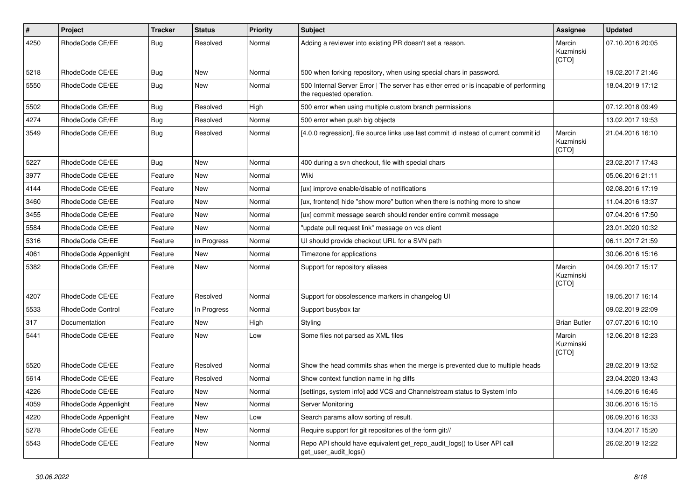| $\pmb{\#}$ | Project              | <b>Tracker</b> | <b>Status</b> | <b>Priority</b> | <b>Subject</b>                                                                                                    | Assignee                     | <b>Updated</b>   |
|------------|----------------------|----------------|---------------|-----------------|-------------------------------------------------------------------------------------------------------------------|------------------------------|------------------|
| 4250       | RhodeCode CE/EE      | Bug            | Resolved      | Normal          | Adding a reviewer into existing PR doesn't set a reason.                                                          | Marcin<br>Kuzminski<br>[CTO] | 07.10.2016 20:05 |
| 5218       | RhodeCode CE/EE      | Bug            | New           | Normal          | 500 when forking repository, when using special chars in password.                                                |                              | 19.02.2017 21:46 |
| 5550       | RhodeCode CE/EE      | Bug            | New           | Normal          | 500 Internal Server Error   The server has either erred or is incapable of performing<br>the requested operation. |                              | 18.04.2019 17:12 |
| 5502       | RhodeCode CE/EE      | <b>Bug</b>     | Resolved      | High            | 500 error when using multiple custom branch permissions                                                           |                              | 07.12.2018 09:49 |
| 4274       | RhodeCode CE/EE      | Bug            | Resolved      | Normal          | 500 error when push big objects                                                                                   |                              | 13.02.2017 19:53 |
| 3549       | RhodeCode CE/EE      | Bug            | Resolved      | Normal          | [4.0.0 regression], file source links use last commit id instead of current commit id                             | Marcin<br>Kuzminski<br>[CTO] | 21.04.2016 16:10 |
| 5227       | RhodeCode CE/EE      | Bug            | <b>New</b>    | Normal          | 400 during a svn checkout, file with special chars                                                                |                              | 23.02.2017 17:43 |
| 3977       | RhodeCode CE/EE      | Feature        | New           | Normal          | Wiki                                                                                                              |                              | 05.06.2016 21:11 |
| 4144       | RhodeCode CE/EE      | Feature        | New           | Normal          | [ux] improve enable/disable of notifications                                                                      |                              | 02.08.2016 17:19 |
| 3460       | RhodeCode CE/EE      | Feature        | <b>New</b>    | Normal          | [ux, frontend] hide "show more" button when there is nothing more to show                                         |                              | 11.04.2016 13:37 |
| 3455       | RhodeCode CE/EE      | Feature        | <b>New</b>    | Normal          | [ux] commit message search should render entire commit message                                                    |                              | 07.04.2016 17:50 |
| 5584       | RhodeCode CE/EE      | Feature        | <b>New</b>    | Normal          | 'update pull request link" message on vcs client                                                                  |                              | 23.01.2020 10:32 |
| 5316       | RhodeCode CE/EE      | Feature        | In Progress   | Normal          | UI should provide checkout URL for a SVN path                                                                     |                              | 06.11.2017 21:59 |
| 4061       | RhodeCode Appenlight | Feature        | <b>New</b>    | Normal          | Timezone for applications                                                                                         |                              | 30.06.2016 15:16 |
| 5382       | RhodeCode CE/EE      | Feature        | <b>New</b>    | Normal          | Support for repository aliases                                                                                    | Marcin<br>Kuzminski<br>[CTO] | 04.09.2017 15:17 |
| 4207       | RhodeCode CE/EE      | Feature        | Resolved      | Normal          | Support for obsolescence markers in changelog UI                                                                  |                              | 19.05.2017 16:14 |
| 5533       | RhodeCode Control    | Feature        | In Progress   | Normal          | Support busybox tar                                                                                               |                              | 09.02.2019 22:09 |
| 317        | Documentation        | Feature        | <b>New</b>    | High            | Styling                                                                                                           | <b>Brian Butler</b>          | 07.07.2016 10:10 |
| 5441       | RhodeCode CE/EE      | Feature        | New           | Low             | Some files not parsed as XML files                                                                                | Marcin<br>Kuzminski<br>[CTO] | 12.06.2018 12:23 |
| 5520       | RhodeCode CE/EE      | Feature        | Resolved      | Normal          | Show the head commits shas when the merge is prevented due to multiple heads                                      |                              | 28.02.2019 13:52 |
| 5614       | RhodeCode CE/EE      | Feature        | Resolved      | Normal          | Show context function name in hg diffs                                                                            |                              | 23.04.2020 13:43 |
| 4226       | RhodeCode CE/EE      | Feature        | <b>New</b>    | Normal          | [settings, system info] add VCS and Channelstream status to System Info                                           |                              | 14.09.2016 16:45 |
| 4059       | RhodeCode Appenlight | Feature        | <b>New</b>    | Normal          | Server Monitoring                                                                                                 |                              | 30.06.2016 15:15 |
| 4220       | RhodeCode Appenlight | Feature        | <b>New</b>    | Low             | Search params allow sorting of result.                                                                            |                              | 06.09.2016 16:33 |
| 5278       | RhodeCode CE/EE      | Feature        | <b>New</b>    | Normal          | Require support for git repositories of the form git://                                                           |                              | 13.04.2017 15:20 |
| 5543       | RhodeCode CE/EE      | Feature        | <b>New</b>    | Normal          | Repo API should have equivalent get repo audit logs() to User API call<br>get user audit logs()                   |                              | 26.02.2019 12:22 |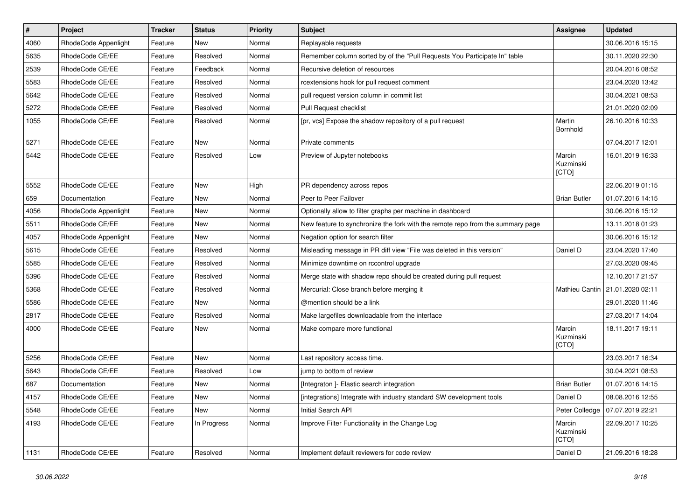| $\pmb{\#}$ | Project              | <b>Tracker</b> | <b>Status</b> | Priority | <b>Subject</b>                                                                 | <b>Assignee</b>              | <b>Updated</b>   |
|------------|----------------------|----------------|---------------|----------|--------------------------------------------------------------------------------|------------------------------|------------------|
| 4060       | RhodeCode Appenlight | Feature        | New           | Normal   | Replayable requests                                                            |                              | 30.06.2016 15:15 |
| 5635       | RhodeCode CE/EE      | Feature        | Resolved      | Normal   | Remember column sorted by of the "Pull Requests You Participate In" table      |                              | 30.11.2020 22:30 |
| 2539       | RhodeCode CE/EE      | Feature        | Feedback      | Normal   | Recursive deletion of resources                                                |                              | 20.04.2016 08:52 |
| 5583       | RhodeCode CE/EE      | Feature        | Resolved      | Normal   | rcextensions hook for pull request comment                                     |                              | 23.04.2020 13:42 |
| 5642       | RhodeCode CE/EE      | Feature        | Resolved      | Normal   | pull request version column in commit list                                     |                              | 30.04.2021 08:53 |
| 5272       | RhodeCode CE/EE      | Feature        | Resolved      | Normal   | Pull Request checklist                                                         |                              | 21.01.2020 02:09 |
| 1055       | RhodeCode CE/EE      | Feature        | Resolved      | Normal   | [pr, vcs] Expose the shadow repository of a pull request                       | Martin<br>Bornhold           | 26.10.2016 10:33 |
| 5271       | RhodeCode CE/EE      | Feature        | <b>New</b>    | Normal   | Private comments                                                               |                              | 07.04.2017 12:01 |
| 5442       | RhodeCode CE/EE      | Feature        | Resolved      | Low      | Preview of Jupyter notebooks                                                   | Marcin<br>Kuzminski<br>[CTO] | 16.01.2019 16:33 |
| 5552       | RhodeCode CE/EE      | Feature        | <b>New</b>    | High     | PR dependency across repos                                                     |                              | 22.06.2019 01:15 |
| 659        | Documentation        | Feature        | New           | Normal   | Peer to Peer Failover                                                          | <b>Brian Butler</b>          | 01.07.2016 14:15 |
| 4056       | RhodeCode Appenlight | Feature        | New           | Normal   | Optionally allow to filter graphs per machine in dashboard                     |                              | 30.06.2016 15:12 |
| 5511       | RhodeCode CE/EE      | Feature        | <b>New</b>    | Normal   | New feature to synchronize the fork with the remote repo from the summary page |                              | 13.11.2018 01:23 |
| 4057       | RhodeCode Appenlight | Feature        | <b>New</b>    | Normal   | Negation option for search filter                                              |                              | 30.06.2016 15:12 |
| 5615       | RhodeCode CE/EE      | Feature        | Resolved      | Normal   | Misleading message in PR diff view "File was deleted in this version"          | Daniel D                     | 23.04.2020 17:40 |
| 5585       | RhodeCode CE/EE      | Feature        | Resolved      | Normal   | Minimize downtime on rccontrol upgrade                                         |                              | 27.03.2020 09:45 |
| 5396       | RhodeCode CE/EE      | Feature        | Resolved      | Normal   | Merge state with shadow repo should be created during pull request             |                              | 12.10.2017 21:57 |
| 5368       | RhodeCode CE/EE      | Feature        | Resolved      | Normal   | Mercurial: Close branch before merging it                                      | Mathieu Cantin               | 21.01.2020 02:11 |
| 5586       | RhodeCode CE/EE      | Feature        | New           | Normal   | @mention should be a link                                                      |                              | 29.01.2020 11:46 |
| 2817       | RhodeCode CE/EE      | Feature        | Resolved      | Normal   | Make largefiles downloadable from the interface                                |                              | 27.03.2017 14:04 |
| 4000       | RhodeCode CE/EE      | Feature        | New           | Normal   | Make compare more functional                                                   | Marcin<br>Kuzminski<br>[CTO] | 18.11.2017 19:11 |
| 5256       | RhodeCode CE/EE      | Feature        | <b>New</b>    | Normal   | Last repository access time.                                                   |                              | 23.03.2017 16:34 |
| 5643       | RhodeCode CE/EE      | Feature        | Resolved      | Low      | jump to bottom of review                                                       |                              | 30.04.2021 08:53 |
| 687        | Documentation        | Feature        | <b>New</b>    | Normal   | [Integraton] - Elastic search integration                                      | <b>Brian Butler</b>          | 01.07.2016 14:15 |
| 4157       | RhodeCode CE/EE      | Feature        | New           | Normal   | [integrations] Integrate with industry standard SW development tools           | Daniel D                     | 08.08.2016 12:55 |
| 5548       | RhodeCode CE/EE      | Feature        | <b>New</b>    | Normal   | Initial Search API                                                             | Peter Colledge               | 07.07.2019 22:21 |
| 4193       | RhodeCode CE/EE      | Feature        | In Progress   | Normal   | Improve Filter Functionality in the Change Log                                 | Marcin<br>Kuzminski<br>[CTO] | 22.09.2017 10:25 |
| 1131       | RhodeCode CE/EE      | Feature        | Resolved      | Normal   | Implement default reviewers for code review                                    | Daniel D                     | 21.09.2016 18:28 |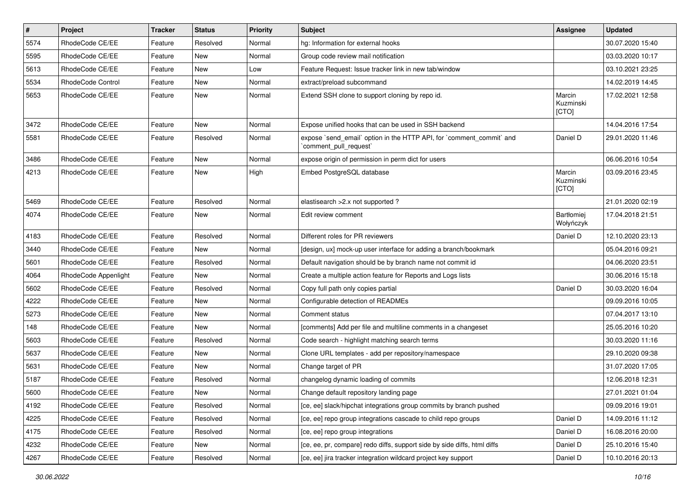| $\pmb{\#}$ | Project                  | <b>Tracker</b> | <b>Status</b> | <b>Priority</b> | <b>Subject</b>                                                                               | <b>Assignee</b>              | <b>Updated</b>   |
|------------|--------------------------|----------------|---------------|-----------------|----------------------------------------------------------------------------------------------|------------------------------|------------------|
| 5574       | RhodeCode CE/EE          | Feature        | Resolved      | Normal          | hg: Information for external hooks                                                           |                              | 30.07.2020 15:40 |
| 5595       | RhodeCode CE/EE          | Feature        | <b>New</b>    | Normal          | Group code review mail notification                                                          |                              | 03.03.2020 10:17 |
| 5613       | RhodeCode CE/EE          | Feature        | <b>New</b>    | Low             | Feature Request: Issue tracker link in new tab/window                                        |                              | 03.10.2021 23:25 |
| 5534       | <b>RhodeCode Control</b> | Feature        | <b>New</b>    | Normal          | extract/preload subcommand                                                                   |                              | 14.02.2019 14:45 |
| 5653       | RhodeCode CE/EE          | Feature        | <b>New</b>    | Normal          | Extend SSH clone to support cloning by repo id.                                              | Marcin<br>Kuzminski<br>[CTO] | 17.02.2021 12:58 |
| 3472       | RhodeCode CE/EE          | Feature        | <b>New</b>    | Normal          | Expose unified hooks that can be used in SSH backend                                         |                              | 14.04.2016 17:54 |
| 5581       | RhodeCode CE/EE          | Feature        | Resolved      | Normal          | expose `send email` option in the HTTP API, for `comment commit` and<br>comment pull request | Daniel D                     | 29.01.2020 11:46 |
| 3486       | RhodeCode CE/EE          | Feature        | <b>New</b>    | Normal          | expose origin of permission in perm dict for users                                           |                              | 06.06.2016 10:54 |
| 4213       | RhodeCode CE/EE          | Feature        | New           | High            | Embed PostgreSQL database                                                                    | Marcin<br>Kuzminski<br>[CTO] | 03.09.2016 23:45 |
| 5469       | RhodeCode CE/EE          | Feature        | Resolved      | Normal          | elastisearch > 2.x not supported?                                                            |                              | 21.01.2020 02:19 |
| 4074       | RhodeCode CE/EE          | Feature        | New           | Normal          | Edit review comment                                                                          | Bartłomiej<br>Wołyńczyk      | 17.04.2018 21:51 |
| 4183       | RhodeCode CE/EE          | Feature        | Resolved      | Normal          | Different roles for PR reviewers                                                             | Daniel D                     | 12.10.2020 23:13 |
| 3440       | RhodeCode CE/EE          | Feature        | New           | Normal          | [design, ux] mock-up user interface for adding a branch/bookmark                             |                              | 05.04.2016 09:21 |
| 5601       | RhodeCode CE/EE          | Feature        | Resolved      | Normal          | Default navigation should be by branch name not commit id                                    |                              | 04.06.2020 23:51 |
| 4064       | RhodeCode Appenlight     | Feature        | New           | Normal          | Create a multiple action feature for Reports and Logs lists                                  |                              | 30.06.2016 15:18 |
| 5602       | RhodeCode CE/EE          | Feature        | Resolved      | Normal          | Copy full path only copies partial                                                           | Daniel D                     | 30.03.2020 16:04 |
| 4222       | RhodeCode CE/EE          | Feature        | New           | Normal          | Configurable detection of READMEs                                                            |                              | 09.09.2016 10:05 |
| 5273       | RhodeCode CE/EE          | Feature        | <b>New</b>    | Normal          | Comment status                                                                               |                              | 07.04.2017 13:10 |
| 148        | RhodeCode CE/EE          | Feature        | <b>New</b>    | Normal          | [comments] Add per file and multiline comments in a changeset                                |                              | 25.05.2016 10:20 |
| 5603       | RhodeCode CE/EE          | Feature        | Resolved      | Normal          | Code search - highlight matching search terms                                                |                              | 30.03.2020 11:16 |
| 5637       | RhodeCode CE/EE          | Feature        | New           | Normal          | Clone URL templates - add per repository/namespace                                           |                              | 29.10.2020 09:38 |
| 5631       | RhodeCode CE/EE          | Feature        | New           | Normal          | Change target of PR                                                                          |                              | 31.07.2020 17:05 |
| 5187       | RhodeCode CE/EE          | Feature        | Resolved      | Normal          | changelog dynamic loading of commits                                                         |                              | 12.06.2018 12:31 |
| 5600       | RhodeCode CE/EE          | Feature        | New           | Normal          | Change default repository landing page                                                       |                              | 27.01.2021 01:04 |
| 4192       | RhodeCode CE/EE          | Feature        | Resolved      | Normal          | [ce, ee] slack/hipchat integrations group commits by branch pushed                           |                              | 09.09.2016 19:01 |
| 4225       | RhodeCode CE/EE          | Feature        | Resolved      | Normal          | [ce, ee] repo group integrations cascade to child repo groups                                | Daniel D                     | 14.09.2016 11:12 |
| 4175       | RhodeCode CE/EE          | Feature        | Resolved      | Normal          | [ce, ee] repo group integrations                                                             | Daniel D                     | 16.08.2016 20:00 |
| 4232       | RhodeCode CE/EE          | Feature        | New           | Normal          | [ce, ee, pr, compare] redo diffs, support side by side diffs, html diffs                     | Daniel D                     | 25.10.2016 15:40 |
| 4267       | RhodeCode CE/EE          | Feature        | Resolved      | Normal          | [ce, ee] jira tracker integration wildcard project key support                               | Daniel D                     | 10.10.2016 20:13 |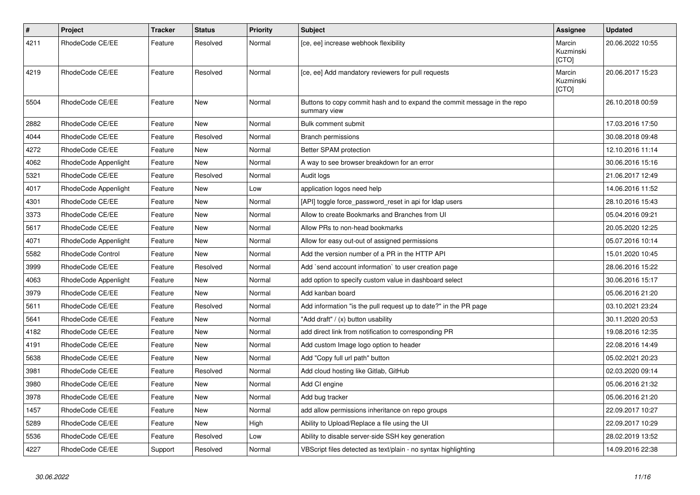| $\vert$ # | Project              | Tracker | <b>Status</b> | <b>Priority</b> | <b>Subject</b>                                                                           | Assignee                     | <b>Updated</b>   |
|-----------|----------------------|---------|---------------|-----------------|------------------------------------------------------------------------------------------|------------------------------|------------------|
| 4211      | RhodeCode CE/EE      | Feature | Resolved      | Normal          | [ce, ee] increase webhook flexibility                                                    | Marcin<br>Kuzminski<br>[CTO] | 20.06.2022 10:55 |
| 4219      | RhodeCode CE/EE      | Feature | Resolved      | Normal          | [ce, ee] Add mandatory reviewers for pull requests                                       | Marcin<br>Kuzminski<br>[CTO] | 20.06.2017 15:23 |
| 5504      | RhodeCode CE/EE      | Feature | <b>New</b>    | Normal          | Buttons to copy commit hash and to expand the commit message in the repo<br>summary view |                              | 26.10.2018 00:59 |
| 2882      | RhodeCode CE/EE      | Feature | <b>New</b>    | Normal          | Bulk comment submit                                                                      |                              | 17.03.2016 17:50 |
| 4044      | RhodeCode CE/EE      | Feature | Resolved      | Normal          | <b>Branch permissions</b>                                                                |                              | 30.08.2018 09:48 |
| 4272      | RhodeCode CE/EE      | Feature | <b>New</b>    | Normal          | Better SPAM protection                                                                   |                              | 12.10.2016 11:14 |
| 4062      | RhodeCode Appenlight | Feature | New           | Normal          | A way to see browser breakdown for an error                                              |                              | 30.06.2016 15:16 |
| 5321      | RhodeCode CE/EE      | Feature | Resolved      | Normal          | Audit logs                                                                               |                              | 21.06.2017 12:49 |
| 4017      | RhodeCode Appenlight | Feature | <b>New</b>    | Low             | application logos need help                                                              |                              | 14.06.2016 11:52 |
| 4301      | RhodeCode CE/EE      | Feature | New           | Normal          | [API] toggle force_password_reset in api for Idap users                                  |                              | 28.10.2016 15:43 |
| 3373      | RhodeCode CE/EE      | Feature | New           | Normal          | Allow to create Bookmarks and Branches from UI                                           |                              | 05.04.2016 09:21 |
| 5617      | RhodeCode CE/EE      | Feature | New           | Normal          | Allow PRs to non-head bookmarks                                                          |                              | 20.05.2020 12:25 |
| 4071      | RhodeCode Appenlight | Feature | New           | Normal          | Allow for easy out-out of assigned permissions                                           |                              | 05.07.2016 10:14 |
| 5582      | RhodeCode Control    | Feature | New           | Normal          | Add the version number of a PR in the HTTP API                                           |                              | 15.01.2020 10:45 |
| 3999      | RhodeCode CE/EE      | Feature | Resolved      | Normal          | Add `send account information` to user creation page                                     |                              | 28.06.2016 15:22 |
| 4063      | RhodeCode Appenlight | Feature | New           | Normal          | add option to specify custom value in dashboard select                                   |                              | 30.06.2016 15:17 |
| 3979      | RhodeCode CE/EE      | Feature | New           | Normal          | Add kanban board                                                                         |                              | 05.06.2016 21:20 |
| 5611      | RhodeCode CE/EE      | Feature | Resolved      | Normal          | Add information "is the pull request up to date?" in the PR page                         |                              | 03.10.2021 23:24 |
| 5641      | RhodeCode CE/EE      | Feature | New           | Normal          | "Add draft" / (x) button usability                                                       |                              | 30.11.2020 20:53 |
| 4182      | RhodeCode CE/EE      | Feature | New           | Normal          | add direct link from notification to corresponding PR                                    |                              | 19.08.2016 12:35 |
| 4191      | RhodeCode CE/EE      | Feature | New           | Normal          | Add custom Image logo option to header                                                   |                              | 22.08.2016 14:49 |
| 5638      | RhodeCode CE/EE      | Feature | New           | Normal          | Add "Copy full url path" button                                                          |                              | 05.02.2021 20:23 |
| 3981      | RhodeCode CE/EE      | Feature | Resolved      | Normal          | Add cloud hosting like Gitlab, GitHub                                                    |                              | 02.03.2020 09:14 |
| 3980      | RhodeCode CE/EE      | Feature | New           | Normal          | Add CI engine                                                                            |                              | 05.06.2016 21:32 |
| 3978      | RhodeCode CE/EE      | Feature | <b>New</b>    | Normal          | Add bug tracker                                                                          |                              | 05.06.2016 21:20 |
| 1457      | RhodeCode CE/EE      | Feature | New           | Normal          | add allow permissions inheritance on repo groups                                         |                              | 22.09.2017 10:27 |
| 5289      | RhodeCode CE/EE      | Feature | New           | High            | Ability to Upload/Replace a file using the UI                                            |                              | 22.09.2017 10:29 |
| 5536      | RhodeCode CE/EE      | Feature | Resolved      | Low             | Ability to disable server-side SSH key generation                                        |                              | 28.02.2019 13:52 |
| 4227      | RhodeCode CE/EE      | Support | Resolved      | Normal          | VBScript files detected as text/plain - no syntax highlighting                           |                              | 14.09.2016 22:38 |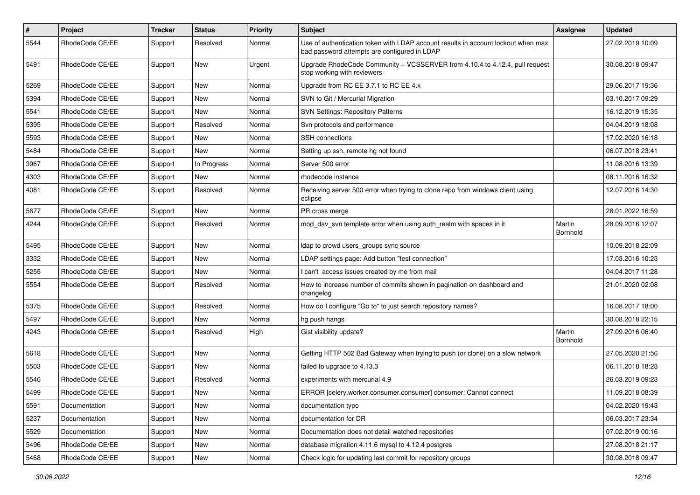| $\pmb{\#}$ | Project         | <b>Tracker</b> | <b>Status</b> | <b>Priority</b> | Subject                                                                                                                           | Assignee           | <b>Updated</b>   |
|------------|-----------------|----------------|---------------|-----------------|-----------------------------------------------------------------------------------------------------------------------------------|--------------------|------------------|
| 5544       | RhodeCode CE/EE | Support        | Resolved      | Normal          | Use of authentication token with LDAP account results in account lockout when max<br>bad password attempts are configured in LDAP |                    | 27.02.2019 10:09 |
| 5491       | RhodeCode CE/EE | Support        | <b>New</b>    | Urgent          | Upgrade RhodeCode Community + VCSSERVER from 4.10.4 to 4.12.4, pull request<br>stop working with reviewers                        |                    | 30.08.2018 09:47 |
| 5269       | RhodeCode CE/EE | Support        | <b>New</b>    | Normal          | Upgrade from RC EE 3.7.1 to RC EE 4.x                                                                                             |                    | 29.06.2017 19:36 |
| 5394       | RhodeCode CE/EE | Support        | New           | Normal          | SVN to Git / Mercurial Migration                                                                                                  |                    | 03.10.2017 09:29 |
| 5541       | RhodeCode CE/EE | Support        | New           | Normal          | <b>SVN Settings: Repository Patterns</b>                                                                                          |                    | 16.12.2019 15:35 |
| 5395       | RhodeCode CE/EE | Support        | Resolved      | Normal          | Svn protocols and performance                                                                                                     |                    | 04.04.2019 18:08 |
| 5593       | RhodeCode CE/EE | Support        | New           | Normal          | SSH connections                                                                                                                   |                    | 17.02.2020 16:18 |
| 5484       | RhodeCode CE/EE | Support        | New           | Normal          | Setting up ssh, remote hg not found                                                                                               |                    | 06.07.2018 23:41 |
| 3967       | RhodeCode CE/EE | Support        | In Progress   | Normal          | Server 500 error                                                                                                                  |                    | 11.08.2016 13:39 |
| 4303       | RhodeCode CE/EE | Support        | New           | Normal          | rhodecode instance                                                                                                                |                    | 08.11.2016 16:32 |
| 4081       | RhodeCode CE/EE | Support        | Resolved      | Normal          | Receiving server 500 error when trying to clone repo from windows client using<br>eclipse                                         |                    | 12.07.2016 14:30 |
| 5677       | RhodeCode CE/EE | Support        | <b>New</b>    | Normal          | PR cross merge                                                                                                                    |                    | 28.01.2022 16:59 |
| 4244       | RhodeCode CE/EE | Support        | Resolved      | Normal          | mod_dav_svn template error when using auth_realm with spaces in it                                                                | Martin<br>Bornhold | 28.09.2016 12:07 |
| 5495       | RhodeCode CE/EE | Support        | <b>New</b>    | Normal          | Idap to crowd users_groups sync source                                                                                            |                    | 10.09.2018 22:09 |
| 3332       | RhodeCode CE/EE | Support        | New           | Normal          | LDAP settings page: Add button "test connection"                                                                                  |                    | 17.03.2016 10:23 |
| 5255       | RhodeCode CE/EE | Support        | <b>New</b>    | Normal          | I can't access issues created by me from mail                                                                                     |                    | 04.04.2017 11:28 |
| 5554       | RhodeCode CE/EE | Support        | Resolved      | Normal          | How to increase number of commits shown in pagination on dashboard and<br>changelog                                               |                    | 21.01.2020 02:08 |
| 5375       | RhodeCode CE/EE | Support        | Resolved      | Normal          | How do I configure "Go to" to just search repository names?                                                                       |                    | 16.08.2017 18:00 |
| 5497       | RhodeCode CE/EE | Support        | <b>New</b>    | Normal          | hg push hangs                                                                                                                     |                    | 30.08.2018 22:15 |
| 4243       | RhodeCode CE/EE | Support        | Resolved      | High            | Gist visibility update?                                                                                                           | Martin<br>Bornhold | 27.09.2016 06:40 |
| 5618       | RhodeCode CE/EE | Support        | New           | Normal          | Getting HTTP 502 Bad Gateway when trying to push (or clone) on a slow network                                                     |                    | 27.05.2020 21:56 |
| 5503       | RhodeCode CE/EE | Support        | <b>New</b>    | Normal          | failed to upgrade to 4.13.3                                                                                                       |                    | 06.11.2018 18:28 |
| 5546       | RhodeCode CE/EE | Support        | Resolved      | Normal          | experiments with mercurial 4.9                                                                                                    |                    | 26.03.2019 09:23 |
| 5499       | RhodeCode CE/EE | Support        | New           | Normal          | ERROR [celery.worker.consumer.consumer] consumer: Cannot connect                                                                  |                    | 11.09.2018 08:39 |
| 5591       | Documentation   | Support        | New           | Normal          | documentation typo                                                                                                                |                    | 04.02.2020 19:43 |
| 5237       | Documentation   | Support        | New           | Normal          | documentation for DR                                                                                                              |                    | 06.03.2017 23:34 |
| 5529       | Documentation   | Support        | New           | Normal          | Documentation does not detail watched repositories                                                                                |                    | 07.02.2019 00:16 |
| 5496       | RhodeCode CE/EE | Support        | New           | Normal          | database migration 4.11.6 mysql to 4.12.4 postgres                                                                                |                    | 27.08.2018 21:17 |
| 5468       | RhodeCode CE/EE | Support        | New           | Normal          | Check logic for updating last commit for repository groups                                                                        |                    | 30.08.2018 09:47 |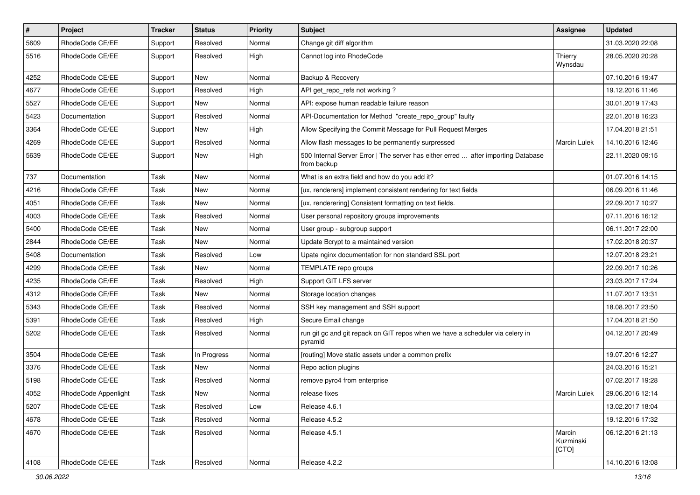| $\vert$ # | Project              | Tracker | <b>Status</b> | <b>Priority</b> | Subject                                                                                          | Assignee                     | <b>Updated</b>   |
|-----------|----------------------|---------|---------------|-----------------|--------------------------------------------------------------------------------------------------|------------------------------|------------------|
| 5609      | RhodeCode CE/EE      | Support | Resolved      | Normal          | Change git diff algorithm                                                                        |                              | 31.03.2020 22:08 |
| 5516      | RhodeCode CE/EE      | Support | Resolved      | High            | Cannot log into RhodeCode                                                                        | Thierry<br>Wynsdau           | 28.05.2020 20:28 |
| 4252      | RhodeCode CE/EE      | Support | New           | Normal          | Backup & Recovery                                                                                |                              | 07.10.2016 19:47 |
| 4677      | RhodeCode CE/EE      | Support | Resolved      | High            | API get_repo_refs not working?                                                                   |                              | 19.12.2016 11:46 |
| 5527      | RhodeCode CE/EE      | Support | New           | Normal          | API: expose human readable failure reason                                                        |                              | 30.01.2019 17:43 |
| 5423      | Documentation        | Support | Resolved      | Normal          | API-Documentation for Method "create_repo_group" faulty                                          |                              | 22.01.2018 16:23 |
| 3364      | RhodeCode CE/EE      | Support | New           | High            | Allow Specifying the Commit Message for Pull Request Merges                                      |                              | 17.04.2018 21:51 |
| 4269      | RhodeCode CE/EE      | Support | Resolved      | Normal          | Allow flash messages to be permanently surpressed                                                | <b>Marcin Lulek</b>          | 14.10.2016 12:46 |
| 5639      | RhodeCode CE/EE      | Support | New           | High            | 500 Internal Server Error   The server has either erred  after importing Database<br>from backup |                              | 22.11.2020 09:15 |
| 737       | Documentation        | Task    | New           | Normal          | What is an extra field and how do you add it?                                                    |                              | 01.07.2016 14:15 |
| 4216      | RhodeCode CE/EE      | Task    | New           | Normal          | [ux, renderers] implement consistent rendering for text fields                                   |                              | 06.09.2016 11:46 |
| 4051      | RhodeCode CE/EE      | Task    | New           | Normal          | [ux, renderering] Consistent formatting on text fields.                                          |                              | 22.09.2017 10:27 |
| 4003      | RhodeCode CE/EE      | Task    | Resolved      | Normal          | User personal repository groups improvements                                                     |                              | 07.11.2016 16:12 |
| 5400      | RhodeCode CE/EE      | Task    | New           | Normal          | User group - subgroup support                                                                    |                              | 06.11.2017 22:00 |
| 2844      | RhodeCode CE/EE      | Task    | New           | Normal          | Update Bcrypt to a maintained version                                                            |                              | 17.02.2018 20:37 |
| 5408      | Documentation        | Task    | Resolved      | Low             | Upate nginx documentation for non standard SSL port                                              |                              | 12.07.2018 23:21 |
| 4299      | RhodeCode CE/EE      | Task    | New           | Normal          | TEMPLATE repo groups                                                                             |                              | 22.09.2017 10:26 |
| 4235      | RhodeCode CE/EE      | Task    | Resolved      | High            | Support GIT LFS server                                                                           |                              | 23.03.2017 17:24 |
| 4312      | RhodeCode CE/EE      | Task    | New           | Normal          | Storage location changes                                                                         |                              | 11.07.2017 13:31 |
| 5343      | RhodeCode CE/EE      | Task    | Resolved      | Normal          | SSH key management and SSH support                                                               |                              | 18.08.2017 23:50 |
| 5391      | RhodeCode CE/EE      | Task    | Resolved      | High            | Secure Email change                                                                              |                              | 17.04.2018 21:50 |
| 5202      | RhodeCode CE/EE      | Task    | Resolved      | Normal          | run git gc and git repack on GIT repos when we have a scheduler via celery in<br>pyramid         |                              | 04.12.2017 20:49 |
| 3504      | RhodeCode CE/EE      | Task    | In Progress   | Normal          | [routing] Move static assets under a common prefix                                               |                              | 19.07.2016 12:27 |
| 3376      | RhodeCode CE/EE      | Task    | New           | Normal          | Repo action plugins                                                                              |                              | 24.03.2016 15:21 |
| 5198      | RhodeCode CE/EE      | Task    | Resolved      | Normal          | remove pyro4 from enterprise                                                                     |                              | 07.02.2017 19:28 |
| 4052      | RhodeCode Appenlight | Task    | New           | Normal          | release fixes                                                                                    | Marcin Lulek                 | 29.06.2016 12:14 |
| 5207      | RhodeCode CE/EE      | Task    | Resolved      | Low             | Release 4.6.1                                                                                    |                              | 13.02.2017 18:04 |
| 4678      | RhodeCode CE/EE      | Task    | Resolved      | Normal          | Release 4.5.2                                                                                    |                              | 19.12.2016 17:32 |
| 4670      | RhodeCode CE/EE      | Task    | Resolved      | Normal          | Release 4.5.1                                                                                    | Marcin<br>Kuzminski<br>[CTO] | 06.12.2016 21:13 |
| 4108      | RhodeCode CE/EE      | Task    | Resolved      | Normal          | Release 4.2.2                                                                                    |                              | 14.10.2016 13:08 |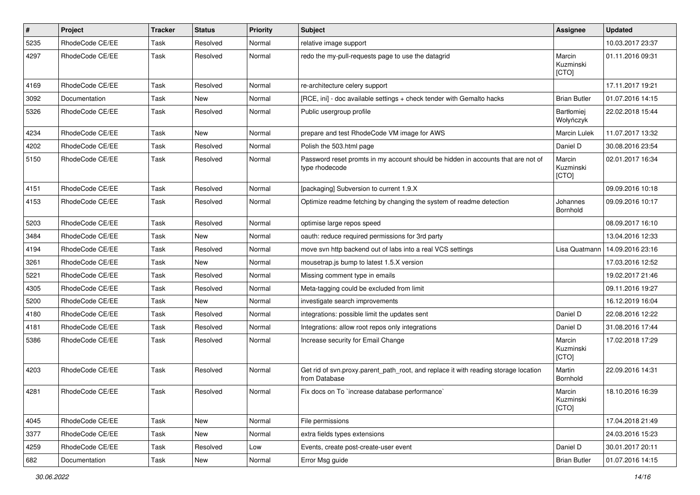| $\pmb{\#}$ | Project         | <b>Tracker</b> | <b>Status</b> | <b>Priority</b> | Subject                                                                                              | <b>Assignee</b>              | <b>Updated</b>   |
|------------|-----------------|----------------|---------------|-----------------|------------------------------------------------------------------------------------------------------|------------------------------|------------------|
| 5235       | RhodeCode CE/EE | Task           | Resolved      | Normal          | relative image support                                                                               |                              | 10.03.2017 23:37 |
| 4297       | RhodeCode CE/EE | Task           | Resolved      | Normal          | redo the my-pull-requests page to use the datagrid                                                   | Marcin<br>Kuzminski<br>[CTO] | 01.11.2016 09:31 |
| 4169       | RhodeCode CE/EE | Task           | Resolved      | Normal          | re-architecture celery support                                                                       |                              | 17.11.2017 19:21 |
| 3092       | Documentation   | Task           | New           | Normal          | [RCE, ini] - doc available settings + check tender with Gemalto hacks                                | <b>Brian Butler</b>          | 01.07.2016 14:15 |
| 5326       | RhodeCode CE/EE | Task           | Resolved      | Normal          | Public usergroup profile                                                                             | Bartłomiej<br>Wołyńczyk      | 22.02.2018 15:44 |
| 4234       | RhodeCode CE/EE | Task           | <b>New</b>    | Normal          | prepare and test RhodeCode VM image for AWS                                                          | <b>Marcin Lulek</b>          | 11.07.2017 13:32 |
| 4202       | RhodeCode CE/EE | Task           | Resolved      | Normal          | Polish the 503.html page                                                                             | Daniel D                     | 30.08.2016 23:54 |
| 5150       | RhodeCode CE/EE | Task           | Resolved      | Normal          | Password reset promts in my account should be hidden in accounts that are not of<br>type rhodecode   | Marcin<br>Kuzminski<br>[CTO] | 02.01.2017 16:34 |
| 4151       | RhodeCode CE/EE | Task           | Resolved      | Normal          | [packaging] Subversion to current 1.9.X                                                              |                              | 09.09.2016 10:18 |
| 4153       | RhodeCode CE/EE | Task           | Resolved      | Normal          | Optimize readme fetching by changing the system of readme detection                                  | Johannes<br>Bornhold         | 09.09.2016 10:17 |
| 5203       | RhodeCode CE/EE | Task           | Resolved      | Normal          | optimise large repos speed                                                                           |                              | 08.09.2017 16:10 |
| 3484       | RhodeCode CE/EE | Task           | New           | Normal          | oauth: reduce required permissions for 3rd party                                                     |                              | 13.04.2016 12:33 |
| 4194       | RhodeCode CE/EE | Task           | Resolved      | Normal          | move svn http backend out of labs into a real VCS settings                                           | Lisa Quatmann                | 14.09.2016 23:16 |
| 3261       | RhodeCode CE/EE | Task           | New           | Normal          | mousetrap.js bump to latest 1.5.X version                                                            |                              | 17.03.2016 12:52 |
| 5221       | RhodeCode CE/EE | Task           | Resolved      | Normal          | Missing comment type in emails                                                                       |                              | 19.02.2017 21:46 |
| 4305       | RhodeCode CE/EE | Task           | Resolved      | Normal          | Meta-tagging could be excluded from limit                                                            |                              | 09.11.2016 19:27 |
| 5200       | RhodeCode CE/EE | Task           | New           | Normal          | investigate search improvements                                                                      |                              | 16.12.2019 16:04 |
| 4180       | RhodeCode CE/EE | Task           | Resolved      | Normal          | integrations: possible limit the updates sent                                                        | Daniel D                     | 22.08.2016 12:22 |
| 4181       | RhodeCode CE/EE | Task           | Resolved      | Normal          | Integrations: allow root repos only integrations                                                     | Daniel D                     | 31.08.2016 17:44 |
| 5386       | RhodeCode CE/EE | Task           | Resolved      | Normal          | Increase security for Email Change                                                                   | Marcin<br>Kuzminski<br>[CTO] | 17.02.2018 17:29 |
| 4203       | RhodeCode CE/EE | Task           | Resolved      | Normal          | Get rid of svn.proxy.parent_path_root, and replace it with reading storage location<br>from Database | Martin<br>Bornhold           | 22.09.2016 14:31 |
| 4281       | RhodeCode CE/EE | Task           | Resolved      | Normal          | Fix docs on To `increase database performance`                                                       | Marcin<br>Kuzminski<br>[CTO] | 18.10.2016 16:39 |
| 4045       | RhodeCode CE/EE | Task           | New           | Normal          | File permissions                                                                                     |                              | 17.04.2018 21:49 |
| 3377       | RhodeCode CE/EE | Task           | New           | Normal          | extra fields types extensions                                                                        |                              | 24.03.2016 15:23 |
| 4259       | RhodeCode CE/EE | Task           | Resolved      | Low             | Events, create post-create-user event                                                                | Daniel D                     | 30.01.2017 20:11 |
| 682        | Documentation   | Task           | New           | Normal          | Error Msg guide                                                                                      | <b>Brian Butler</b>          | 01.07.2016 14:15 |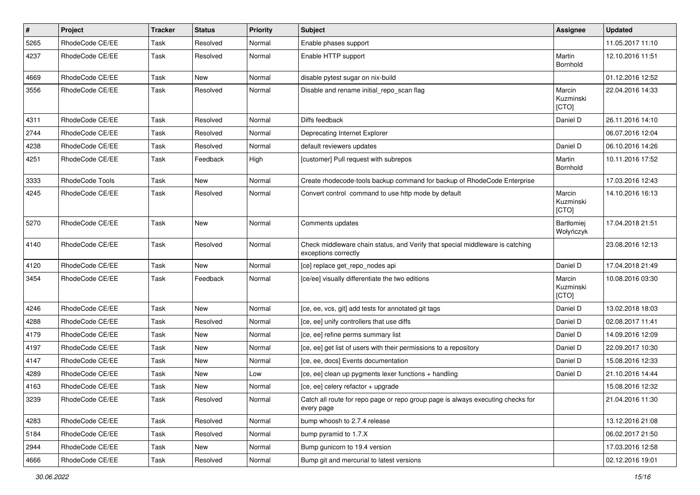| $\pmb{\#}$ | Project         | <b>Tracker</b> | <b>Status</b> | <b>Priority</b> | <b>Subject</b>                                                                                        | <b>Assignee</b>                | <b>Updated</b>   |
|------------|-----------------|----------------|---------------|-----------------|-------------------------------------------------------------------------------------------------------|--------------------------------|------------------|
| 5265       | RhodeCode CE/EE | Task           | Resolved      | Normal          | Enable phases support                                                                                 |                                | 11.05.2017 11:10 |
| 4237       | RhodeCode CE/EE | Task           | Resolved      | Normal          | Enable HTTP support                                                                                   | Martin<br>Bornhold             | 12.10.2016 11:51 |
| 4669       | RhodeCode CE/EE | Task           | New           | Normal          | disable pytest sugar on nix-build                                                                     |                                | 01.12.2016 12:52 |
| 3556       | RhodeCode CE/EE | Task           | Resolved      | Normal          | Disable and rename initial_repo_scan flag                                                             | Marcin<br>Kuzminski<br>[CTO]   | 22.04.2016 14:33 |
| 4311       | RhodeCode CE/EE | Task           | Resolved      | Normal          | Diffs feedback                                                                                        | Daniel D                       | 26.11.2016 14:10 |
| 2744       | RhodeCode CE/EE | Task           | Resolved      | Normal          | Deprecating Internet Explorer                                                                         |                                | 06.07.2016 12:04 |
| 4238       | RhodeCode CE/EE | Task           | Resolved      | Normal          | default reviewers updates                                                                             | Daniel D                       | 06.10.2016 14:26 |
| 4251       | RhodeCode CE/EE | Task           | Feedback      | High            | [customer] Pull request with subrepos                                                                 | Martin<br>Bornhold             | 10.11.2016 17:52 |
| 3333       | RhodeCode Tools | <b>Task</b>    | New           | Normal          | Create rhodecode-tools backup command for backup of RhodeCode Enterprise                              |                                | 17.03.2016 12:43 |
| 4245       | RhodeCode CE/EE | Task           | Resolved      | Normal          | Convert control command to use http mode by default                                                   | Marcin<br>Kuzminski<br>[CTO]   | 14.10.2016 16:13 |
| 5270       | RhodeCode CE/EE | Task           | New           | Normal          | Comments updates                                                                                      | <b>Bartłomiej</b><br>Wołyńczyk | 17.04.2018 21:51 |
| 4140       | RhodeCode CE/EE | Task           | Resolved      | Normal          | Check middleware chain status, and Verify that special middleware is catching<br>exceptions correctly |                                | 23.08.2016 12:13 |
| 4120       | RhodeCode CE/EE | Task           | <b>New</b>    | Normal          | [ce] replace get_repo_nodes api                                                                       | Daniel D                       | 17.04.2018 21:49 |
| 3454       | RhodeCode CE/EE | Task           | Feedback      | Normal          | [ce/ee] visually differentiate the two editions                                                       | Marcin<br>Kuzminski<br>[CTO]   | 10.08.2016 03:30 |
| 4246       | RhodeCode CE/EE | Task           | New           | Normal          | [ce, ee, vcs, git] add tests for annotated git tags                                                   | Daniel D                       | 13.02.2018 18:03 |
| 4288       | RhodeCode CE/EE | Task           | Resolved      | Normal          | [ce, ee] unify controllers that use diffs                                                             | Daniel D                       | 02.08.2017 11:41 |
| 4179       | RhodeCode CE/EE | Task           | New           | Normal          | [ce, ee] refine perms summary list                                                                    | Daniel D                       | 14.09.2016 12:09 |
| 4197       | RhodeCode CE/EE | Task           | New           | Normal          | [ce, ee] get list of users with their permissions to a repository                                     | Daniel D                       | 22.09.2017 10:30 |
| 4147       | RhodeCode CE/EE | Task           | New           | Normal          | [ce, ee, docs] Events documentation                                                                   | Daniel D                       | 15.08.2016 12:33 |
| 4289       | RhodeCode CE/EE | Task           | New           | Low             | [ce, ee] clean up pygments lexer functions + handling                                                 | Daniel D                       | 21.10.2016 14:44 |
| 4163       | RhodeCode CE/EE | Task           | New           | Normal          | [ce, ee] celery refactor + upgrade                                                                    |                                | 15.08.2016 12:32 |
| 3239       | RhodeCode CE/EE | Task           | Resolved      | Normal          | Catch all route for repo page or repo group page is always executing checks for<br>every page         |                                | 21.04.2016 11:30 |
| 4283       | RhodeCode CE/EE | Task           | Resolved      | Normal          | bump whoosh to 2.7.4 release                                                                          |                                | 13.12.2016 21:08 |
| 5184       | RhodeCode CE/EE | Task           | Resolved      | Normal          | bump pyramid to 1.7.X                                                                                 |                                | 06.02.2017 21:50 |
| 2944       | RhodeCode CE/EE | Task           | New           | Normal          | Bump gunicorn to 19.4 version                                                                         |                                | 17.03.2016 12:58 |
| 4666       | RhodeCode CE/EE | Task           | Resolved      | Normal          | Bump git and mercurial to latest versions                                                             |                                | 02.12.2016 19:01 |